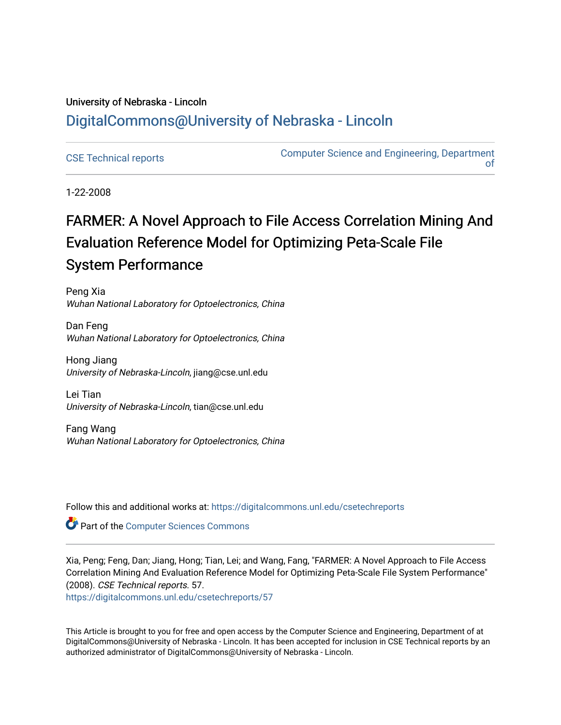# University of Nebraska - Lincoln [DigitalCommons@University of Nebraska - Lincoln](https://digitalcommons.unl.edu/)

[CSE Technical reports](https://digitalcommons.unl.edu/csetechreports) **COMPUTER COMPUTER COMPUTER** COMPUTER COMPUTER COMPUTER COMPUTER COMPUTER COMPUTER COMPUTE [of](https://digitalcommons.unl.edu/computerscienceandengineering) 

1-22-2008

# FARMER: A Novel Approach to File Access Correlation Mining And Evaluation Reference Model for Optimizing Peta-Scale File System Performance

Peng Xia Wuhan National Laboratory for Optoelectronics, China

Dan Feng Wuhan National Laboratory for Optoelectronics, China

Hong Jiang University of Nebraska-Lincoln, jiang@cse.unl.edu

Lei Tian University of Nebraska-Lincoln, tian@cse.unl.edu

Fang Wang Wuhan National Laboratory for Optoelectronics, China

Follow this and additional works at: [https://digitalcommons.unl.edu/csetechreports](https://digitalcommons.unl.edu/csetechreports?utm_source=digitalcommons.unl.edu%2Fcsetechreports%2F57&utm_medium=PDF&utm_campaign=PDFCoverPages) 

**Part of the [Computer Sciences Commons](http://network.bepress.com/hgg/discipline/142?utm_source=digitalcommons.unl.edu%2Fcsetechreports%2F57&utm_medium=PDF&utm_campaign=PDFCoverPages)** 

Xia, Peng; Feng, Dan; Jiang, Hong; Tian, Lei; and Wang, Fang, "FARMER: A Novel Approach to File Access Correlation Mining And Evaluation Reference Model for Optimizing Peta-Scale File System Performance" (2008). CSE Technical reports. 57.

[https://digitalcommons.unl.edu/csetechreports/57](https://digitalcommons.unl.edu/csetechreports/57?utm_source=digitalcommons.unl.edu%2Fcsetechreports%2F57&utm_medium=PDF&utm_campaign=PDFCoverPages)

This Article is brought to you for free and open access by the Computer Science and Engineering, Department of at DigitalCommons@University of Nebraska - Lincoln. It has been accepted for inclusion in CSE Technical reports by an authorized administrator of DigitalCommons@University of Nebraska - Lincoln.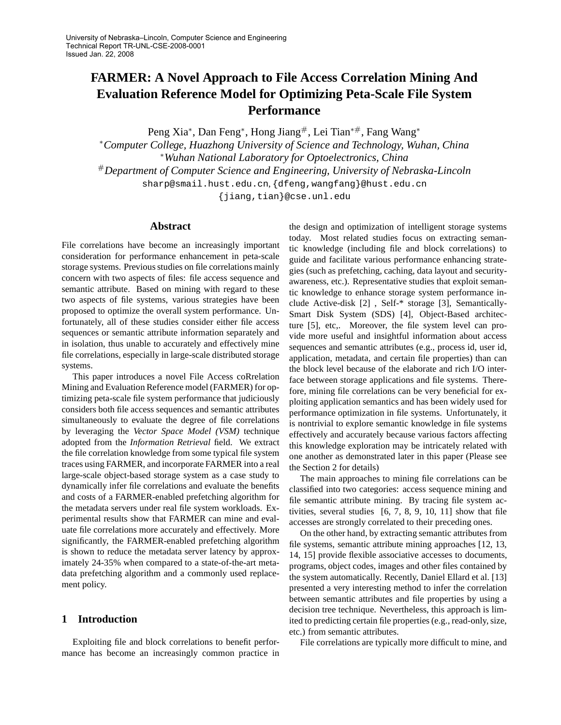# **FARMER: A Novel Approach to File Access Correlation Mining And Evaluation Reference Model for Optimizing Peta-Scale File System Performance**

Peng Xia<sup>∗</sup>, Dan Feng<sup>∗</sup>, Hong Jiang<sup>#</sup>, Lei Tian<sup>∗#</sup>, Fang Wang<sup>∗</sup> <sup>∗</sup>*Computer College, Huazhong University of Science and Technology, Wuhan, China*

<sup>∗</sup>*Wuhan National Laboratory for Optoelectronics, China* #*Department of Computer Science and Engineering, University of Nebraska-Lincoln* sharp@smail.hust.edu.cn, {dfeng,wangfang}@hust.edu.cn

{jiang,tian}@cse.unl.edu

#### **Abstract**

File correlations have become an increasingly important consideration for performance enhancement in peta-scale storage systems. Previous studies on file correlations mainly concern with two aspects of files: file access sequence and semantic attribute. Based on mining with regard to these two aspects of file systems, various strategies have been proposed to optimize the overall system performance. Unfortunately, all of these studies consider either file access sequences or semantic attribute information separately and in isolation, thus unable to accurately and effectively mine file correlations, especially in large-scale distributed storage systems.

This paper introduces a novel File Access coRrelation Mining and Evaluation Reference model (FARMER) for optimizing peta-scale file system performance that judiciously considers both file access sequences and semantic attributes simultaneously to evaluate the degree of file correlations by leveraging the *Vector Space Model (VSM)* technique adopted from the *Information Retrieval* field. We extract the file correlation knowledge from some typical file system traces using FARMER, and incorporate FARMER into a real large-scale object-based storage system as a case study to dynamically infer file correlations and evaluate the benefits and costs of a FARMER-enabled prefetching algorithm for the metadata servers under real file system workloads. Experimental results show that FARMER can mine and evaluate file correlations more accurately and effectively. More significantly, the FARMER-enabled prefetching algorithm is shown to reduce the metadata server latency by approximately 24-35% when compared to a state-of-the-art metadata prefetching algorithm and a commonly used replacement policy.

# **1 Introduction**

Exploiting file and block correlations to benefit performance has become an increasingly common practice in

the design and optimization of intelligent storage systems today. Most related studies focus on extracting semantic knowledge (including file and block correlations) to guide and facilitate various performance enhancing strategies (such as prefetching, caching, data layout and securityawareness, etc.). Representative studies that exploit semantic knowledge to enhance storage system performance include Active-disk [2] , Self-\* storage [3], Semantically-Smart Disk System (SDS) [4], Object-Based architecture [5], etc,. Moreover, the file system level can provide more useful and insightful information about access sequences and semantic attributes (e.g., process id, user id, application, metadata, and certain file properties) than can the block level because of the elaborate and rich I/O interface between storage applications and file systems. Therefore, mining file correlations can be very beneficial for exploiting application semantics and has been widely used for performance optimization in file systems. Unfortunately, it is nontrivial to explore semantic knowledge in file systems effectively and accurately because various factors affecting this knowledge exploration may be intricately related with one another as demonstrated later in this paper (Please see the Section 2 for details)

The main approaches to mining file correlations can be classified into two categories: access sequence mining and file semantic attribute mining. By tracing file system activities, several studies [6, 7, 8, 9, 10, 11] show that file accesses are strongly correlated to their preceding ones.

On the other hand, by extracting semantic attributes from file systems, semantic attribute mining approaches [12, 13, 14, 15] provide flexible associative accesses to documents, programs, object codes, images and other files contained by the system automatically. Recently, Daniel Ellard et al. [13] presented a very interesting method to infer the correlation between semantic attributes and file properties by using a decision tree technique. Nevertheless, this approach is limited to predicting certain file properties (e.g., read-only, size, etc.) from semantic attributes.

File correlations are typically more difficult to mine, and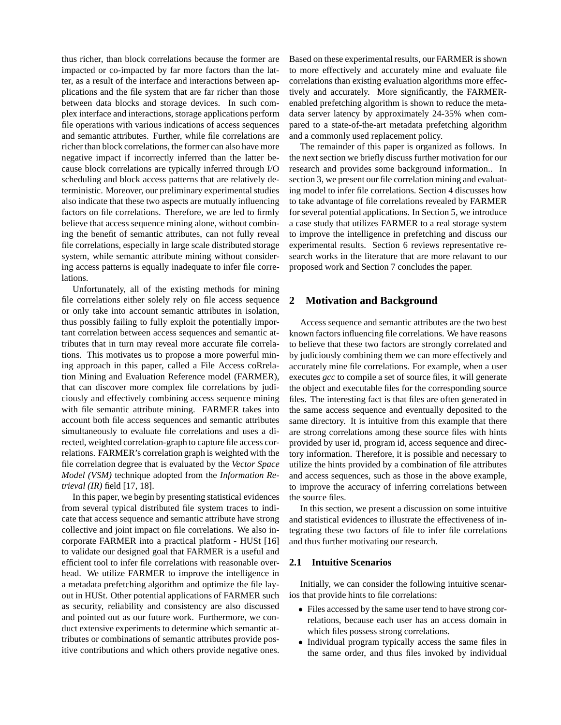thus richer, than block correlations because the former are impacted or co-impacted by far more factors than the latter, as a result of the interface and interactions between applications and the file system that are far richer than those between data blocks and storage devices. In such complex interface and interactions, storage applications perform file operations with various indications of access sequences and semantic attributes. Further, while file correlations are richer than block correlations, the former can also have more negative impact if incorrectly inferred than the latter because block correlations are typically inferred through I/O scheduling and block access patterns that are relatively deterministic. Moreover, our preliminary experimental studies also indicate that these two aspects are mutually influencing factors on file correlations. Therefore, we are led to firmly believe that access sequence mining alone, without combining the benefit of semantic attributes, can not fully reveal file correlations, especially in large scale distributed storage system, while semantic attribute mining without considering access patterns is equally inadequate to infer file correlations.

Unfortunately, all of the existing methods for mining file correlations either solely rely on file access sequence or only take into account semantic attributes in isolation, thus possibly failing to fully exploit the potentially important correlation between access sequences and semantic attributes that in turn may reveal more accurate file correlations. This motivates us to propose a more powerful mining approach in this paper, called a File Access coRrelation Mining and Evaluation Reference model (FARMER), that can discover more complex file correlations by judiciously and effectively combining access sequence mining with file semantic attribute mining. FARMER takes into account both file access sequences and semantic attributes simultaneously to evaluate file correlations and uses a directed, weighted correlation-graph to capture file access correlations. FARMER's correlation graph is weighted with the file correlation degree that is evaluated by the *Vector Space Model (VSM)* technique adopted from the *Information Retrieval (IR)* field [17, 18].

In this paper, we begin by presenting statistical evidences from several typical distributed file system traces to indicate that access sequence and semantic attribute have strong collective and joint impact on file correlations. We also incorporate FARMER into a practical platform - HUSt [16] to validate our designed goal that FARMER is a useful and efficient tool to infer file correlations with reasonable overhead. We utilize FARMER to improve the intelligence in a metadata prefetching algorithm and optimize the file layout in HUSt. Other potential applications of FARMER such as security, reliability and consistency are also discussed and pointed out as our future work. Furthermore, we conduct extensive experiments to determine which semantic attributes or combinations of semantic attributes provide positive contributions and which others provide negative ones.

Based on these experimental results, our FARMER is shown to more effectively and accurately mine and evaluate file correlations than existing evaluation algorithms more effectively and accurately. More significantly, the FARMERenabled prefetching algorithm is shown to reduce the metadata server latency by approximately 24-35% when compared to a state-of-the-art metadata prefetching algorithm and a commonly used replacement policy.

The remainder of this paper is organized as follows. In the next section we briefly discuss further motivation for our research and provides some background information.. In section 3, we present our file correlation mining and evaluating model to infer file correlations. Section 4 discusses how to take advantage of file correlations revealed by FARMER for several potential applications. In Section 5, we introduce a case study that utilizes FARMER to a real storage system to improve the intelligence in prefetching and discuss our experimental results. Section 6 reviews representative research works in the literature that are more relavant to our proposed work and Section 7 concludes the paper.

#### **2 Motivation and Background**

Access sequence and semantic attributes are the two best known factors influencing file correlations. We have reasons to believe that these two factors are strongly correlated and by judiciously combining them we can more effectively and accurately mine file correlations. For example, when a user executes *gcc* to compile a set of source files, it will generate the object and executable files for the corresponding source files. The interesting fact is that files are often generated in the same access sequence and eventually deposited to the same directory. It is intuitive from this example that there are strong correlations among these source files with hints provided by user id, program id, access sequence and directory information. Therefore, it is possible and necessary to utilize the hints provided by a combination of file attributes and access sequences, such as those in the above example, to improve the accuracy of inferring correlations between the source files.

In this section, we present a discussion on some intuitive and statistical evidences to illustrate the effectiveness of integrating these two factors of file to infer file correlations and thus further motivating our research.

#### **2.1 Intuitive Scenarios**

Initially, we can consider the following intuitive scenarios that provide hints to file correlations:

- Files accessed by the same user tend to have strong correlations, because each user has an access domain in which files possess strong correlations.
- Individual program typically access the same files in the same order, and thus files invoked by individual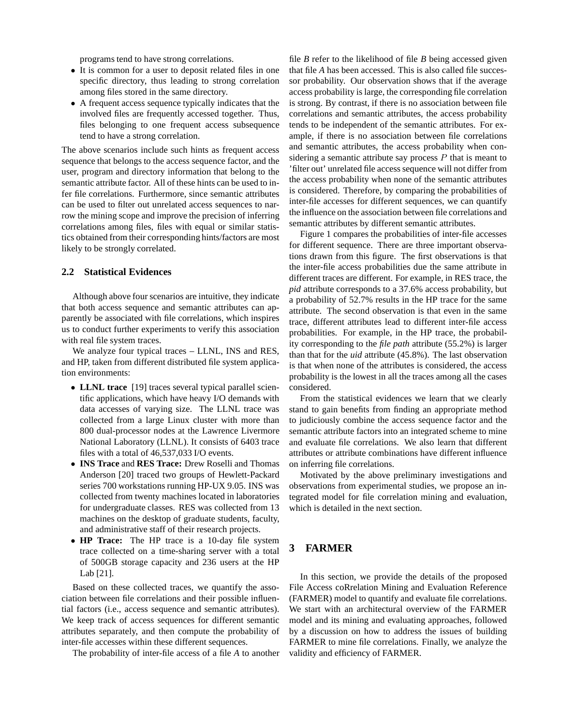programs tend to have strong correlations.

- It is common for a user to deposit related files in one specific directory, thus leading to strong correlation among files stored in the same directory.
- A frequent access sequence typically indicates that the involved files are frequently accessed together. Thus, files belonging to one frequent access subsequence tend to have a strong correlation.

The above scenarios include such hints as frequent access sequence that belongs to the access sequence factor, and the user, program and directory information that belong to the semantic attribute factor. All of these hints can be used to infer file correlations. Furthermore, since semantic attributes can be used to filter out unrelated access sequences to narrow the mining scope and improve the precision of inferring correlations among files, files with equal or similar statistics obtained from their corresponding hints/factors are most likely to be strongly correlated.

#### **2.2 Statistical Evidences**

Although above four scenarios are intuitive, they indicate that both access sequence and semantic attributes can apparently be associated with file correlations, which inspires us to conduct further experiments to verify this association with real file system traces.

We analyze four typical traces – LLNL, INS and RES, and HP, taken from different distributed file system application environments:

- **LLNL trace** [19] traces several typical parallel scientific applications, which have heavy I/O demands with data accesses of varying size. The LLNL trace was collected from a large Linux cluster with more than 800 dual-processor nodes at the Lawrence Livermore National Laboratory (LLNL). It consists of 6403 trace files with a total of 46,537,033 I/O events.
- **INS Trace** and **RES Trace:** Drew Roselli and Thomas Anderson [20] traced two groups of Hewlett-Packard series 700 workstations running HP-UX 9.05. INS was collected from twenty machines located in laboratories for undergraduate classes. RES was collected from 13 machines on the desktop of graduate students, faculty, and administrative staff of their research projects.
- **HP Trace:** The HP trace is a 10-day file system trace collected on a time-sharing server with a total of 500GB storage capacity and 236 users at the HP Lab [21].

Based on these collected traces, we quantify the association between file correlations and their possible influential factors (i.e., access sequence and semantic attributes). We keep track of access sequences for different semantic attributes separately, and then compute the probability of inter-file accesses within these different sequences.

The probability of inter-file access of a file *A* to another

file *B* refer to the likelihood of file *B* being accessed given that file *A* has been accessed. This is also called file successor probability. Our observation shows that if the average access probability is large, the corresponding file correlation is strong. By contrast, if there is no association between file correlations and semantic attributes, the access probability tends to be independent of the semantic attributes. For example, if there is no association between file correlations and semantic attributes, the access probability when considering a semantic attribute say process  $P$  that is meant to 'filter out' unrelated file access sequence will not differ from the access probability when none of the semantic attributes is considered. Therefore, by comparing the probabilities of inter-file accesses for different sequences, we can quantify the influence on the association between file correlations and semantic attributes by different semantic attributes.

Figure 1 compares the probabilities of inter-file accesses for different sequence. There are three important observations drawn from this figure. The first observations is that the inter-file access probabilities due the same attribute in different traces are different. For example, in RES trace, the *pid* attribute corresponds to a 37.6% access probability, but a probability of 52.7% results in the HP trace for the same attribute. The second observation is that even in the same trace, different attributes lead to different inter-file access probabilities. For example, in the HP trace, the probability corresponding to the *file path* attribute (55.2%) is larger than that for the *uid* attribute (45.8%). The last observation is that when none of the attributes is considered, the access probability is the lowest in all the traces among all the cases considered.

From the statistical evidences we learn that we clearly stand to gain benefits from finding an appropriate method to judiciously combine the access sequence factor and the semantic attribute factors into an integrated scheme to mine and evaluate file correlations. We also learn that different attributes or attribute combinations have different influence on inferring file correlations.

Motivated by the above preliminary investigations and observations from experimental studies, we propose an integrated model for file correlation mining and evaluation, which is detailed in the next section.

# **3 FARMER**

In this section, we provide the details of the proposed File Access coRrelation Mining and Evaluation Reference (FARMER) model to quantify and evaluate file correlations. We start with an architectural overview of the FARMER model and its mining and evaluating approaches, followed by a discussion on how to address the issues of building FARMER to mine file correlations. Finally, we analyze the validity and efficiency of FARMER.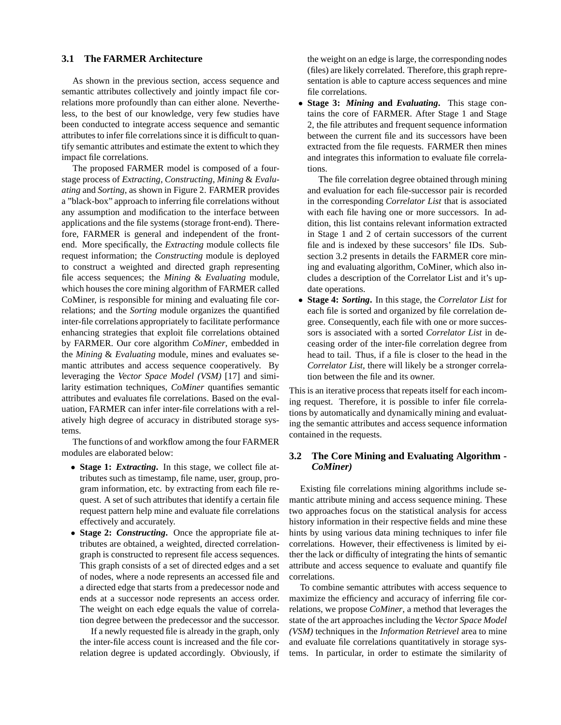#### **3.1 The FARMER Architecture**

As shown in the previous section, access sequence and semantic attributes collectively and jointly impact file correlations more profoundly than can either alone. Nevertheless, to the best of our knowledge, very few studies have been conducted to integrate access sequence and semantic attributes to infer file correlations since it is difficult to quantify semantic attributes and estimate the extent to which they impact file correlations.

The proposed FARMER model is composed of a fourstage process of *Extracting*, *Constructing*, *Mining* & *Evaluating* and *Sorting*, as shown in Figure 2. FARMER provides a "black-box" approach to inferring file correlations without any assumption and modification to the interface between applications and the file systems (storage front-end). Therefore, FARMER is general and independent of the frontend. More specifically, the *Extracting* module collects file request information; the *Constructing* module is deployed to construct a weighted and directed graph representing file access sequences; the *Mining* & *Evaluating* module, which houses the core mining algorithm of FARMER called CoMiner, is responsible for mining and evaluating file correlations; and the *Sorting* module organizes the quantified inter-file correlations appropriately to facilitate performance enhancing strategies that exploit file correlations obtained by FARMER. Our core algorithm *CoMiner*, embedded in the *Mining* & *Evaluating* module, mines and evaluates semantic attributes and access sequence cooperatively. By leveraging the *Vector Space Model (VSM)* [17] and similarity estimation techniques, *CoMiner* quantifies semantic attributes and evaluates file correlations. Based on the evaluation, FARMER can infer inter-file correlations with a relatively high degree of accuracy in distributed storage systems.

The functions of and workflow among the four FARMER modules are elaborated below:

- **Stage 1:** *Extracting***.** In this stage, we collect file attributes such as timestamp, file name, user, group, program information, etc. by extracting from each file request. A set of such attributes that identify a certain file request pattern help mine and evaluate file correlations effectively and accurately.
- **Stage 2:** *Constructing***.** Once the appropriate file attributes are obtained, a weighted, directed correlationgraph is constructed to represent file access sequences. This graph consists of a set of directed edges and a set of nodes, where a node represents an accessed file and a directed edge that starts from a predecessor node and ends at a successor node represents an access order. The weight on each edge equals the value of correlation degree between the predecessor and the successor.

If a newly requested file is already in the graph, only the inter-file access count is increased and the file correlation degree is updated accordingly. Obviously, if

the weight on an edge is large, the corresponding nodes (files) are likely correlated. Therefore, this graph representation is able to capture access sequences and mine file correlations.

• **Stage 3:** *Mining* **and** *Evaluating***.** This stage contains the core of FARMER. After Stage 1 and Stage 2, the file attributes and frequent sequence information between the current file and its successors have been extracted from the file requests. FARMER then mines and integrates this information to evaluate file correlations.

The file correlation degree obtained through mining and evaluation for each file-successor pair is recorded in the corresponding *Correlator List* that is associated with each file having one or more successors. In addition, this list contains relevant information extracted in Stage 1 and 2 of certain successors of the current file and is indexed by these succesors' file IDs. Subsection 3.2 presents in details the FARMER core mining and evaluating algorithm, CoMiner, which also includes a description of the Correlator List and it's update operations.

• **Stage 4:** *Sorting***.** In this stage, the *Correlator List* for each file is sorted and organized by file correlation degree. Consequently, each file with one or more successors is associated with a sorted *Correlator List* in deceasing order of the inter-file correlation degree from head to tail. Thus, if a file is closer to the head in the *Correlator List*, there will likely be a stronger correlation between the file and its owner.

This is an iterative process that repeats itself for each incoming request. Therefore, it is possible to infer file correlations by automatically and dynamically mining and evaluating the semantic attributes and access sequence information contained in the requests.

## **3.2 The Core Mining and Evaluating Algorithm -** *CoMiner)*

Existing file correlations mining algorithms include semantic attribute mining and access sequence mining. These two approaches focus on the statistical analysis for access history information in their respective fields and mine these hints by using various data mining techniques to infer file correlations. However, their effectiveness is limited by either the lack or difficulty of integrating the hints of semantic attribute and access sequence to evaluate and quantify file correlations.

To combine semantic attributes with access sequence to maximize the efficiency and accuracy of inferring file correlations, we propose *CoMiner*, a method that leverages the state of the art approaches including the *Vector Space Model (VSM)* techniques in the *Information Retrievel* area to mine and evaluate file correlations quantitatively in storage systems. In particular, in order to estimate the similarity of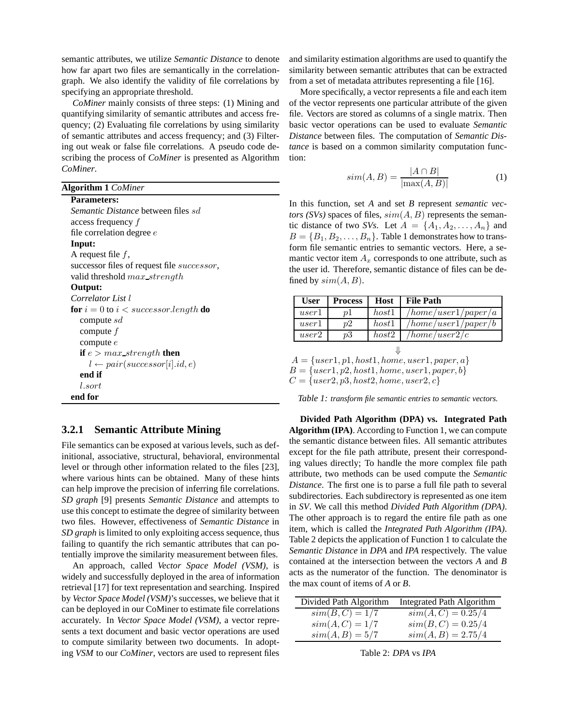semantic attributes, we utilize *Semantic Distance* to denote how far apart two files are semantically in the correlationgraph. We also identify the validity of file correlations by specifying an appropriate threshold.

*CoMiner* mainly consists of three steps: (1) Mining and quantifying similarity of semantic attributes and access frequency; (2) Evaluating file correlations by using similarity of semantic attributes and access frequency; and (3) Filtering out weak or false file correlations. A pseudo code describing the process of *CoMiner* is presented as Algorithm *CoMiner*.

| <b>Algorithm 1 CoMiner</b> |  |
|----------------------------|--|

| <b>Parameters:</b>                                     |
|--------------------------------------------------------|
| Semantic Distance between files sd                     |
| access frequency f                                     |
| file correlation degree $e$                            |
| Input:                                                 |
| A request file $f$ ,                                   |
| successor files of request file <i>successor</i> ,     |
| valid threshold max strength                           |
| Output:                                                |
| Correlator List l                                      |
| <b>for</b> $i = 0$ to $i <$ successor.length <b>do</b> |
| compute $sd$                                           |
| compute $f$                                            |
| compute $e$                                            |
| <b>if</b> $e > max$ strength <b>then</b>               |
| $l \leftarrow pair(successor[i].id, e)$                |
| end if                                                 |
| l.sort                                                 |
| end for                                                |

# **3.2.1 Semantic Attribute Mining**

File semantics can be exposed at various levels, such as definitional, associative, structural, behavioral, environmental level or through other information related to the files [23], where various hints can be obtained. Many of these hints can help improve the precision of inferring file correlations. *SD graph* [9] presents *Semantic Distance* and attempts to use this concept to estimate the degree of similarity between two files. However, effectiveness of *Semantic Distance* in *SD graph* is limited to only exploiting access sequence, thus failing to quantify the rich semantic attributes that can potentially improve the similarity measurement between files.

An approach, called *Vector Space Model (VSM)*, is widely and successfully deployed in the area of information retrieval [17] for text representation and searching. Inspired by *Vector Space Model (VSM)*'s successes, we believe that it can be deployed in our CoMiner to estimate file correlations accurately. In *Vector Space Model (VSM)*, a vector represents a text document and basic vector operations are used to compute similarity between two documents. In adopting *VSM* to our *CoMiner*, vectors are used to represent files

and similarity estimation algorithms are used to quantify the similarity between semantic attributes that can be extracted from a set of metadata attributes representing a file [16].

More specifically, a vector represents a file and each item of the vector represents one particular attribute of the given file. Vectors are stored as columns of a single matrix. Then basic vector operations can be used to evaluate *Semantic Distance* between files. The computation of *Semantic Distance* is based on a common similarity computation function:

$$
sim(A, B) = \frac{|A \cap B|}{|\max(A, B)|} \tag{1}
$$

In this function, set *A* and set *B* represent *semantic vectors (SVs)* spaces of files,  $sim(A, B)$  represents the semantic distance of two *SVs*. Let  $A = \{A_1, A_2, \ldots, A_n\}$  and  $B = \{B_1, B_2, \ldots, B_n\}$ . Table 1 demonstrates how to transform file semantic entries to semantic vectors. Here, a semantic vector item  $A_x$  corresponds to one attribute, such as the user id. Therefore, semantic distance of files can be defined by  $sim(A, B)$ .

| <b>User</b> | <b>Process</b> |       | <b>Host</b> File Path |
|-------------|----------------|-------|-----------------------|
| user1       | $\eta$         | host1 | /home/user1/paper/a   |
| user1       | n2             | host1 | /home/user1/paper/b   |
| user2       | p3             | host2 | /home/user2/c         |

```
⇓
A = \{user1, p1, host1, home, user1, paper, a\}B = \{user1, p2, host1, home, user1, paper, b\}
```

```
C = \{user2, p3, host2, home, user2, c\}
```
*Table 1: transform file semantic entries to semantic vectors.*

**Divided Path Algorithm (DPA) vs. Integrated Path Algorithm (IPA)**. According to Function 1, we can compute the semantic distance between files. All semantic attributes except for the file path attribute, present their corresponding values directly; To handle the more complex file path attribute, two methods can be used compute the *Semantic Distance*. The first one is to parse a full file path to several subdirectories. Each subdirectory is represented as one item in *SV*. We call this method *Divided Path Algorithm (DPA)*. The other approach is to regard the entire file path as one item, which is called the *Integrated Path Algorithm (IPA)*. Table 2 depicts the application of Function 1 to calculate the *Semantic Distance* in *DPA* and *IPA* respectively. The value contained at the intersection between the vectors *A* and *B* acts as the numerator of the function. The denominator is the max count of items of *A* or *B*.

| Divided Path Algorithm | <b>Integrated Path Algorithm</b> |
|------------------------|----------------------------------|
| $sim(B, C) = 1/7$      | $sim(A, C) = 0.25/4$             |
| $sim(A, C) = 1/7$      | $sim(B, C) = 0.25/4$             |
| $sim(A, B) = 5/7$      | $sim(A, B) = 2.75/4$             |

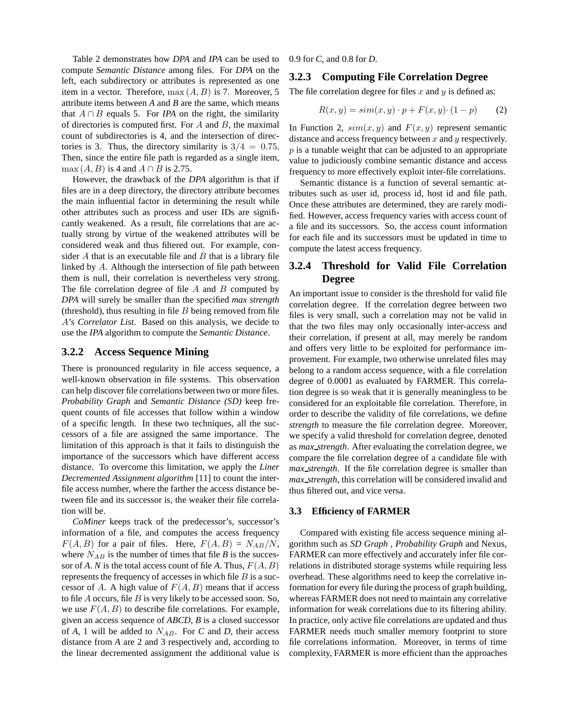Table 2 demonstrates how *DPA* and *IPA* can be used to compute *Semantic Distance* among files. For *DPA* on the left, each subdirectory or attributes is represented as one item in a vector. Therefore,  $\max(A, B)$  is 7. Moreover, 5 attribute items between *A* and *B* are the same, which means that  $A \cap B$  equals 5. For *IPA* on the right, the similarity of directories is computed first. For  $A$  and  $B$ , the maximal count of subdirectories is 4, and the intersection of directories is 3. Thus, the directory similarity is  $3/4 = 0.75$ . Then, since the entire file path is regarded as a single item, max  $(A, B)$  is 4 and  $A \cap B$  is 2.75.

However, the drawback of the *DPA* algorithm is that if files are in a deep directory, the directory attribute becomes the main influential factor in determining the result while other attributes such as process and user IDs are significantly weakened. As a result, file correlations that are actually strong by virtue of the weakened attributes will be considered weak and thus filtered out. For example, consider  $A$  that is an executable file and  $B$  that is a library file linked by A. Although the intersection of file path between them is null, their correlation is nevertheless very strong. The file correlation degree of file  $A$  and  $B$  computed by *DPA* will surely be smaller than the specified *max strength* (threshold), thus resulting in file  $B$  being removed from file A's *Correlator List*. Based on this analysis, we decide to use the *IPA* algorithm to compute the *Semantic Distance*.

#### **3.2.2 Access Sequence Mining**

There is pronounced regularity in file access sequence, a well-known observation in file systems. This observation can help discover file correlations between two or more files. *Probability Graph* and *Semantic Distance (SD)* keep frequent counts of file accesses that follow within a window of a specific length. In these two techniques, all the successors of a file are assigned the same importance. The limitation of this approach is that it fails to distinguish the importance of the successors which have different access distance. To overcome this limitation, we apply the *Liner Decremented Assignment algorithm* [11] to count the interfile access number, where the farther the access distance between file and its successor is, the weaker their file correlation will be.

*CoMiner* keeps track of the predecessor's, successor's information of a file, and computes the access frequency  $F(A, B)$  for a pair of files. Here,  $F(A, B) = N_{AB}/N$ , where  $N_{AB}$  is the number of times that file *B* is the successor of A. N is the total access count of file A. Thus,  $F(A, B)$ represents the frequency of accesses in which file  $B$  is a successor of A. A high value of  $F(A, B)$  means that if access to file  $A$  occurs, file  $B$  is very likely to be accessed soon. So, we use  $F(A, B)$  to describe file correlations. For example, given an access sequence of *ABCD*, *B* is a closed successor of  $A$ , 1 will be added to  $N_{AB}$ . For  $C$  and  $D$ , their access distance from *A* are 2 and 3 respectively and, according to the linear decremented assignment the additional value is 0.9 for *C*, and 0.8 for *D*.

#### **3.2.3 Computing File Correlation Degree**

The file correlation degree for files  $x$  and  $y$  is defined as:

$$
R(x, y) = sim(x, y) \cdot p + F(x, y) \cdot (1 - p) \tag{2}
$$

In Function 2,  $sim(x, y)$  and  $F(x, y)$  represent semantic distance and access frequency between  $x$  and  $y$  respectively.  $p$  is a tunable weight that can be adjusted to an appropriate value to judiciously combine semantic distance and access frequency to more effectively exploit inter-file correlations.

Semantic distance is a function of several semantic attributes such as user id, process id, host id and file path. Once these attributes are determined, they are rarely modified. However, access frequency varies with access count of a file and its successors. So, the access count information for each file and its successors must be updated in time to compute the latest access frequency.

# **3.2.4 Threshold for Valid File Correlation Degree**

An important issue to consider is the threshold for valid file correlation degree. If the correlation degree between two files is very small, such a correlation may not be valid in that the two files may only occasionally inter-access and their correlation, if present at all, may merely be random and offers very little to be exploited for performance improvement. For example, two otherwise unrelated files may belong to a random access sequence, with a file correlation degree of 0.0001 as evaluated by FARMER. This correlation degree is so weak that it is generally meaningless to be considered for an exploitable file correlation. Therefore, in order to describe the validity of file correlations, we define *strength* to measure the file correlation degree. Moreover, we specify a valid threshold for correlation degree, denoted as *max strength*. After evaluating the correlation degree, we compare the file correlation degree of a candidate file with *max strength*. If the file correlation degree is smaller than *max strength*, this correlation will be considered invalid and thus filtered out, and vice versa.

#### **3.3 Efficiency of FARMER**

Compared with existing file access sequence mining algorithm such as *SD Graph* , *Probability Graph* and Nexus, FARMER can more effectively and accurately infer file correlations in distributed storage systems while requiring less overhead. These algorithms need to keep the correlative information for every file during the process of graph building, whereas FARMER does not need to maintain any correlative information for weak correlations due to its filtering ability. In practice, only active file correlations are updated and thus FARMER needs much smaller memory footprint to store file correlations information. Moreover, in terms of time complexity, FARMER is more efficient than the approaches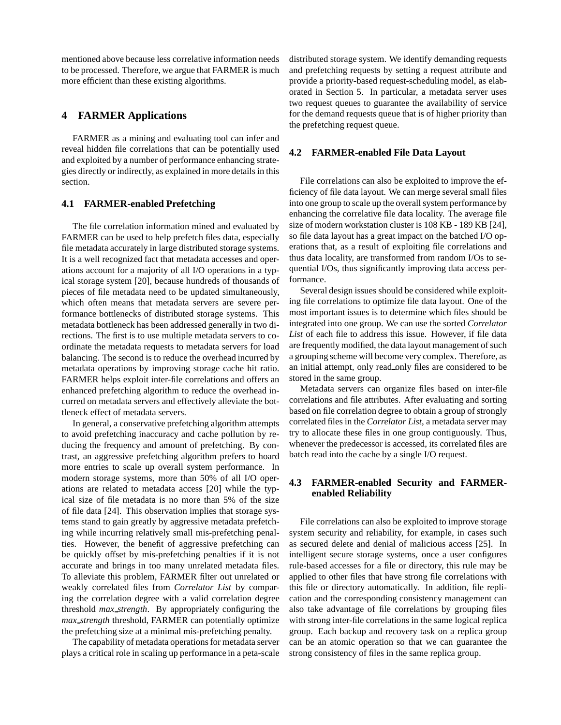mentioned above because less correlative information needs to be processed. Therefore, we argue that FARMER is much more efficient than these existing algorithms.

# **4 FARMER Applications**

FARMER as a mining and evaluating tool can infer and reveal hidden file correlations that can be potentially used and exploited by a number of performance enhancing strategies directly or indirectly, as explained in more details in this section.

## **4.1 FARMER-enabled Prefetching**

The file correlation information mined and evaluated by FARMER can be used to help prefetch files data, especially file metadata accurately in large distributed storage systems. It is a well recognized fact that metadata accesses and operations account for a majority of all I/O operations in a typical storage system [20], because hundreds of thousands of pieces of file metadata need to be updated simultaneously, which often means that metadata servers are severe performance bottlenecks of distributed storage systems. This metadata bottleneck has been addressed generally in two directions. The first is to use multiple metadata servers to coordinate the metadata requests to metadata servers for load balancing. The second is to reduce the overhead incurred by metadata operations by improving storage cache hit ratio. FARMER helps exploit inter-file correlations and offers an enhanced prefetching algorithm to reduce the overhead incurred on metadata servers and effectively alleviate the bottleneck effect of metadata servers.

In general, a conservative prefetching algorithm attempts to avoid prefetching inaccuracy and cache pollution by reducing the frequency and amount of prefetching. By contrast, an aggressive prefetching algorithm prefers to hoard more entries to scale up overall system performance. In modern storage systems, more than 50% of all I/O operations are related to metadata access [20] while the typical size of file metadata is no more than 5% of the size of file data [24]. This observation implies that storage systems stand to gain greatly by aggressive metadata prefetching while incurring relatively small mis-prefetching penalties. However, the benefit of aggressive prefetching can be quickly offset by mis-prefetching penalties if it is not accurate and brings in too many unrelated metadata files. To alleviate this problem, FARMER filter out unrelated or weakly correlated files from *Correlator List* by comparing the correlation degree with a valid correlation degree threshold *max strength*. By appropriately configuring the *max strength* threshold, FARMER can potentially optimize the prefetching size at a minimal mis-prefetching penalty.

The capability of metadata operations for metadata server plays a critical role in scaling up performance in a peta-scale

distributed storage system. We identify demanding requests and prefetching requests by setting a request attribute and provide a priority-based request-scheduling model, as elaborated in Section 5. In particular, a metadata server uses two request queues to guarantee the availability of service for the demand requests queue that is of higher priority than the prefetching request queue.

#### **4.2 FARMER-enabled File Data Layout**

File correlations can also be exploited to improve the efficiency of file data layout. We can merge several small files into one group to scale up the overall system performance by enhancing the correlative file data locality. The average file size of modern workstation cluster is 108 KB - 189 KB [24], so file data layout has a great impact on the batched I/O operations that, as a result of exploiting file correlations and thus data locality, are transformed from random I/Os to sequential I/Os, thus significantly improving data access performance.

Several design issues should be considered while exploiting file correlations to optimize file data layout. One of the most important issues is to determine which files should be integrated into one group. We can use the sorted *Correlator List* of each file to address this issue. However, if file data are frequently modified, the data layout management of such a grouping scheme will become very complex. Therefore, as an initial attempt, only read only files are considered to be stored in the same group.

Metadata servers can organize files based on inter-file correlations and file attributes. After evaluating and sorting based on file correlation degree to obtain a group of strongly correlated files in the *Correlator List*, a metadata server may try to allocate these files in one group contiguously. Thus, whenever the predecessor is accessed, its correlated files are batch read into the cache by a single I/O request.

# **4.3 FARMER-enabled Security and FARMERenabled Reliability**

File correlations can also be exploited to improve storage system security and reliability, for example, in cases such as secured delete and denial of malicious access [25]. In intelligent secure storage systems, once a user configures rule-based accesses for a file or directory, this rule may be applied to other files that have strong file correlations with this file or directory automatically. In addition, file replication and the corresponding consistency management can also take advantage of file correlations by grouping files with strong inter-file correlations in the same logical replica group. Each backup and recovery task on a replica group can be an atomic operation so that we can guarantee the strong consistency of files in the same replica group.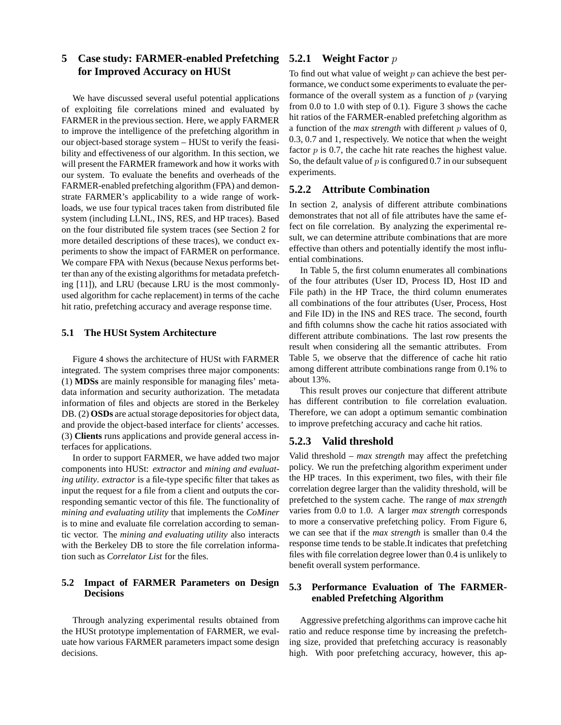# **5 Case study: FARMER-enabled Prefetching for Improved Accuracy on HUSt**

We have discussed several useful potential applications of exploiting file correlations mined and evaluated by FARMER in the previous section. Here, we apply FARMER to improve the intelligence of the prefetching algorithm in our object-based storage system – HUSt to verify the feasibility and effectiveness of our algorithm. In this section, we will present the FARMER framework and how it works with our system. To evaluate the benefits and overheads of the FARMER-enabled prefetching algorithm (FPA) and demonstrate FARMER's applicability to a wide range of workloads, we use four typical traces taken from distributed file system (including LLNL, INS, RES, and HP traces). Based on the four distributed file system traces (see Section 2 for more detailed descriptions of these traces), we conduct experiments to show the impact of FARMER on performance. We compare FPA with Nexus (because Nexus performs better than any of the existing algorithms for metadata prefetching [11]), and LRU (because LRU is the most commonlyused algorithm for cache replacement) in terms of the cache hit ratio, prefetching accuracy and average response time.

#### **5.1 The HUSt System Architecture**

Figure 4 shows the architecture of HUSt with FARMER integrated. The system comprises three major components: (1) **MDSs** are mainly responsible for managing files' metadata information and security authorization. The metadata information of files and objects are stored in the Berkeley DB. (2) **OSDs** are actual storage depositories for object data, and provide the object-based interface for clients' accesses. (3) **Clients** runs applications and provide general access interfaces for applications.

In order to support FARMER, we have added two major components into HUSt: *extractor* and *mining and evaluating utility*. *extractor* is a file-type specific filter that takes as input the request for a file from a client and outputs the corresponding semantic vector of this file. The functionality of *mining and evaluating utility* that implements the *CoMiner* is to mine and evaluate file correlation according to semantic vector. The *mining and evaluating utility* also interacts with the Berkeley DB to store the file correlation information such as *Correlator List* for the files.

# **5.2 Impact of FARMER Parameters on Design Decisions**

Through analyzing experimental results obtained from the HUSt prototype implementation of FARMER, we evaluate how various FARMER parameters impact some design decisions.

# **5.2.1 Weight Factor** p

To find out what value of weight  $p$  can achieve the best performance, we conduct some experiments to evaluate the performance of the overall system as a function of  $p$  (varying from 0.0 to 1.0 with step of 0.1). Figure 3 shows the cache hit ratios of the FARMER-enabled prefetching algorithm as a function of the *max strength* with different p values of 0, 0.3, 0.7 and 1, respectively. We notice that when the weight factor  $p$  is 0.7, the cache hit rate reaches the highest value. So, the default value of  $p$  is configured 0.7 in our subsequent experiments.

# **5.2.2 Attribute Combination**

In section 2, analysis of different attribute combinations demonstrates that not all of file attributes have the same effect on file correlation. By analyzing the experimental result, we can determine attribute combinations that are more effective than others and potentially identify the most influential combinations.

In Table 5, the first column enumerates all combinations of the four attributes (User ID, Process ID, Host ID and File path) in the HP Trace, the third column enumerates all combinations of the four attributes (User, Process, Host and File ID) in the INS and RES trace. The second, fourth and fifth columns show the cache hit ratios associated with different attribute combinations. The last row presents the result when considering all the semantic attributes. From Table 5, we observe that the difference of cache hit ratio among different attribute combinations range from 0.1% to about 13%.

This result proves our conjecture that different attribute has different contribution to file correlation evaluation. Therefore, we can adopt a optimum semantic combination to improve prefetching accuracy and cache hit ratios.

# **5.2.3 Valid threshold**

Valid threshold – *max strength* may affect the prefetching policy. We run the prefetching algorithm experiment under the HP traces. In this experiment, two files, with their file correlation degree larger than the validity threshold, will be prefetched to the system cache. The range of *max strength* varies from 0.0 to 1.0. A larger *max strength* corresponds to more a conservative prefetching policy. From Figure 6, we can see that if the *max strength* is smaller than 0.4 the response time tends to be stable.It indicates that prefetching files with file correlation degree lower than 0.4 is unlikely to benefit overall system performance.

# **5.3 Performance Evaluation of The FARMERenabled Prefetching Algorithm**

Aggressive prefetching algorithms can improve cache hit ratio and reduce response time by increasing the prefetching size, provided that prefetching accuracy is reasonably high. With poor prefetching accuracy, however, this ap-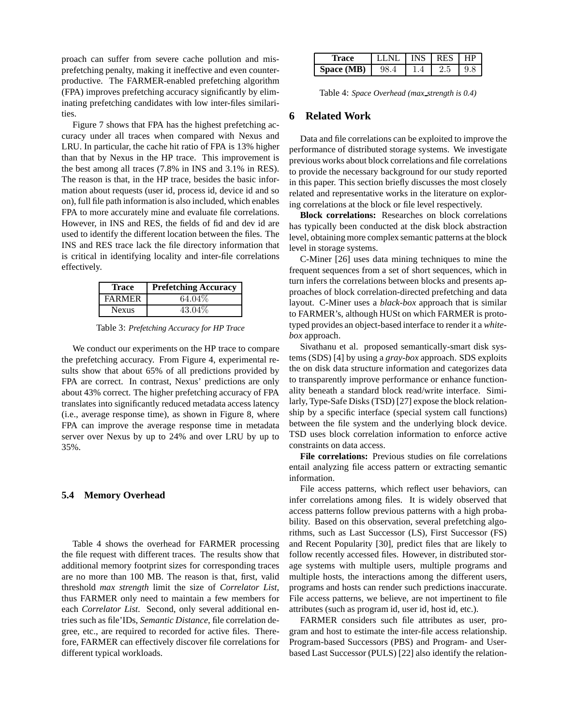proach can suffer from severe cache pollution and misprefetching penalty, making it ineffective and even counterproductive. The FARMER-enabled prefetching algorithm (FPA) improves prefetching accuracy significantly by eliminating prefetching candidates with low inter-files similarities.

Figure 7 shows that FPA has the highest prefetching accuracy under all traces when compared with Nexus and LRU. In particular, the cache hit ratio of FPA is 13% higher than that by Nexus in the HP trace. This improvement is the best among all traces (7.8% in INS and 3.1% in RES). The reason is that, in the HP trace, besides the basic information about requests (user id, process id, device id and so on), full file path information is also included, which enables FPA to more accurately mine and evaluate file correlations. However, in INS and RES, the fields of fid and dev id are used to identify the different location between the files. The INS and RES trace lack the file directory information that is critical in identifying locality and inter-file correlations effectively.

| Trace         | <b>Prefetching Accuracy</b> |
|---------------|-----------------------------|
| <b>FARMER</b> | 64.04%                      |
| <b>Nexus</b>  | 43.04%                      |

Table 3: *Prefetching Accuracy for HP Trace*

We conduct our experiments on the HP trace to compare the prefetching accuracy. From Figure 4, experimental results show that about 65% of all predictions provided by FPA are correct. In contrast, Nexus' predictions are only about 43% correct. The higher prefetching accuracy of FPA translates into significantly reduced metadata access latency (i.e., average response time), as shown in Figure 8, where FPA can improve the average response time in metadata server over Nexus by up to 24% and over LRU by up to 35%.

#### **5.4 Memory Overhead**

Table 4 shows the overhead for FARMER processing the file request with different traces. The results show that additional memory footprint sizes for corresponding traces are no more than 100 MB. The reason is that, first, valid threshold *max strength* limit the size of *Correlator List*, thus FARMER only need to maintain a few members for each *Correlator List*. Second, only several additional entries such as file'IDs, *Semantic Distance*, file correlation degree, etc., are required to recorded for active files. Therefore, FARMER can effectively discover file correlations for different typical workloads.

| Trace      | <b>LLNL</b> | INS RES | $\overline{H}$ |
|------------|-------------|---------|----------------|
| Space (MB) | 98.4        |         | 9.8            |

Table 4: *Space Overhead (max strength is 0.4)*

#### **6 Related Work**

Data and file correlations can be exploited to improve the performance of distributed storage systems. We investigate previous works about block correlations and file correlations to provide the necessary background for our study reported in this paper. This section briefly discusses the most closely related and representative works in the literature on exploring correlations at the block or file level respectively.

**Block correlations:** Researches on block correlations has typically been conducted at the disk block abstraction level, obtaining more complex semantic patterns at the block level in storage systems.

C-Miner [26] uses data mining techniques to mine the frequent sequences from a set of short sequences, which in turn infers the correlations between blocks and presents approaches of block correlation-directed prefetching and data layout. C-Miner uses a *black-box* approach that is similar to FARMER's, although HUSt on which FARMER is prototyped provides an object-based interface to render it a *whitebox* approach.

Sivathanu et al. proposed semantically-smart disk systems (SDS) [4] by using a *gray-box* approach. SDS exploits the on disk data structure information and categorizes data to transparently improve performance or enhance functionality beneath a standard block read/write interface. Similarly, Type-Safe Disks (TSD) [27] expose the block relationship by a specific interface (special system call functions) between the file system and the underlying block device. TSD uses block correlation information to enforce active constraints on data access.

**File correlations:** Previous studies on file correlations entail analyzing file access pattern or extracting semantic information.

File access patterns, which reflect user behaviors, can infer correlations among files. It is widely observed that access patterns follow previous patterns with a high probability. Based on this observation, several prefetching algorithms, such as Last Successor (LS), First Successor (FS) and Recent Popularity [30], predict files that are likely to follow recently accessed files. However, in distributed storage systems with multiple users, multiple programs and multiple hosts, the interactions among the different users, programs and hosts can render such predictions inaccurate. File access patterns, we believe, are not impertinent to file attributes (such as program id, user id, host id, etc.).

FARMER considers such file attributes as user, program and host to estimate the inter-file access relationship. Program-based Successors (PBS) and Program- and Userbased Last Successor (PULS) [22] also identify the relation-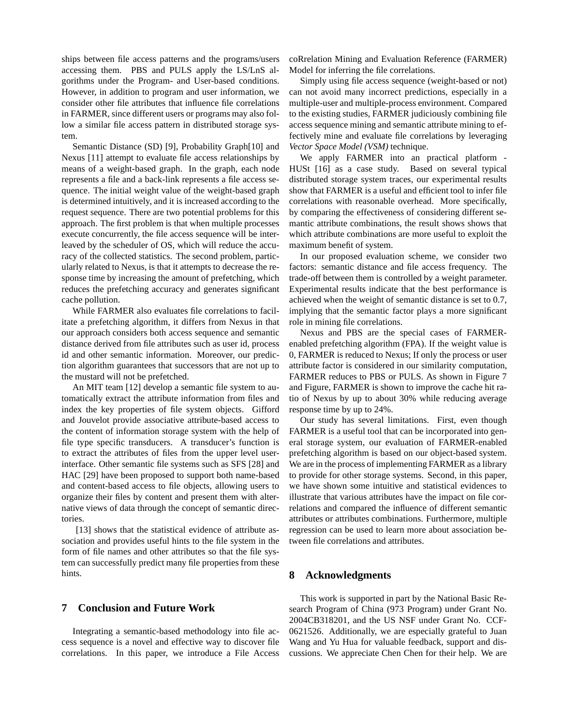ships between file access patterns and the programs/users accessing them. PBS and PULS apply the LS/LnS algorithms under the Program- and User-based conditions. However, in addition to program and user information, we consider other file attributes that influence file correlations in FARMER, since different users or programs may also follow a similar file access pattern in distributed storage system.

Semantic Distance (SD) [9], Probability Graph[10] and Nexus [11] attempt to evaluate file access relationships by means of a weight-based graph. In the graph, each node represents a file and a back-link represents a file access sequence. The initial weight value of the weight-based graph is determined intuitively, and it is increased according to the request sequence. There are two potential problems for this approach. The first problem is that when multiple processes execute concurrently, the file access sequence will be interleaved by the scheduler of OS, which will reduce the accuracy of the collected statistics. The second problem, particularly related to Nexus, is that it attempts to decrease the response time by increasing the amount of prefetching, which reduces the prefetching accuracy and generates significant cache pollution.

While FARMER also evaluates file correlations to facilitate a prefetching algorithm, it differs from Nexus in that our approach considers both access sequence and semantic distance derived from file attributes such as user id, process id and other semantic information. Moreover, our prediction algorithm guarantees that successors that are not up to the mustard will not be prefetched.

An MIT team [12] develop a semantic file system to automatically extract the attribute information from files and index the key properties of file system objects. Gifford and Jouvelot provide associative attribute-based access to the content of information storage system with the help of file type specific transducers. A transducer's function is to extract the attributes of files from the upper level userinterface. Other semantic file systems such as SFS [28] and HAC [29] have been proposed to support both name-based and content-based access to file objects, allowing users to organize their files by content and present them with alternative views of data through the concept of semantic directories.

[13] shows that the statistical evidence of attribute association and provides useful hints to the file system in the form of file names and other attributes so that the file system can successfully predict many file properties from these hints.

#### **7 Conclusion and Future Work**

Integrating a semantic-based methodology into file access sequence is a novel and effective way to discover file correlations. In this paper, we introduce a File Access coRrelation Mining and Evaluation Reference (FARMER) Model for inferring the file correlations.

Simply using file access sequence (weight-based or not) can not avoid many incorrect predictions, especially in a multiple-user and multiple-process environment. Compared to the existing studies, FARMER judiciously combining file access sequence mining and semantic attribute mining to effectively mine and evaluate file correlations by leveraging *Vector Space Model (VSM)* technique.

We apply FARMER into an practical platform - HUSt [16] as a case study. Based on several typical distributed storage system traces, our experimental results show that FARMER is a useful and efficient tool to infer file correlations with reasonable overhead. More specifically, by comparing the effectiveness of considering different semantic attribute combinations, the result shows shows that which attribute combinations are more useful to exploit the maximum benefit of system.

In our proposed evaluation scheme, we consider two factors: semantic distance and file access frequency. The trade-off between them is controlled by a weight parameter. Experimental results indicate that the best performance is achieved when the weight of semantic distance is set to 0.7, implying that the semantic factor plays a more significant role in mining file correlations.

Nexus and PBS are the special cases of FARMERenabled prefetching algorithm (FPA). If the weight value is 0, FARMER is reduced to Nexus; If only the process or user attribute factor is considered in our similarity computation, FARMER reduces to PBS or PULS. As shown in Figure 7 and Figure, FARMER is shown to improve the cache hit ratio of Nexus by up to about 30% while reducing average response time by up to 24%.

Our study has several limitations. First, even though FARMER is a useful tool that can be incorporated into general storage system, our evaluation of FARMER-enabled prefetching algorithm is based on our object-based system. We are in the process of implementing FARMER as a library to provide for other storage systems. Second, in this paper, we have shown some intuitive and statistical evidences to illustrate that various attributes have the impact on file correlations and compared the influence of different semantic attributes or attributes combinations. Furthermore, multiple regression can be used to learn more about association between file correlations and attributes.

#### **8 Acknowledgments**

This work is supported in part by the National Basic Research Program of China (973 Program) under Grant No. 2004CB318201, and the US NSF under Grant No. CCF-0621526. Additionally, we are especially grateful to Juan Wang and Yu Hua for valuable feedback, support and discussions. We appreciate Chen Chen for their help. We are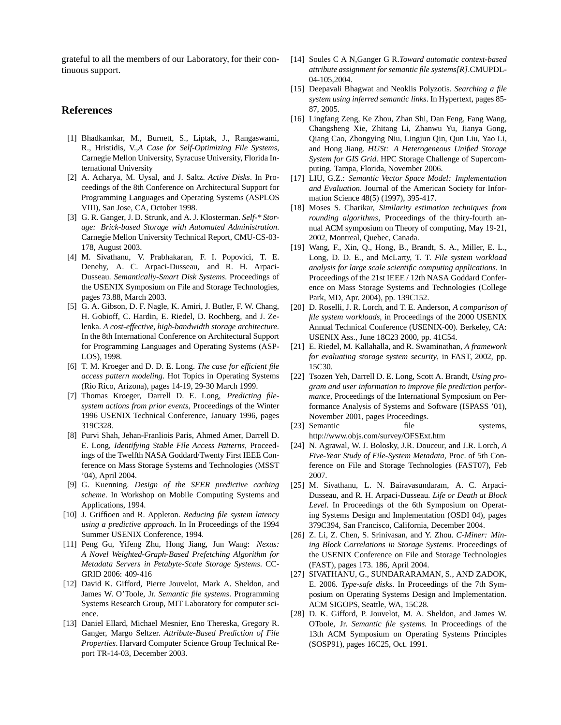grateful to all the members of our Laboratory, for their continuous support.

## **References**

- [1] Bhadkamkar, M., Burnett, S., Liptak, J., Rangaswami, R., Hristidis, V.,*A Case for Self-Optimizing File Systems*, Carnegie Mellon University, Syracuse University, Florida International University
- [2] A. Acharya, M. Uysal, and J. Saltz. *Active Disks*. In Proceedings of the 8th Conference on Architectural Support for Programming Languages and Operating Systems (ASPLOS VIII), San Jose, CA, October 1998.
- [3] G. R. Ganger, J. D. Strunk, and A. J. Klosterman. *Self-\* Storage: Brick-based Storage with Automated Administration*. Carnegie Mellon University Technical Report, CMU-CS-03- 178, August 2003.
- [4] M. Sivathanu, V. Prabhakaran, F. I. Popovici, T. E. Denehy, A. C. Arpaci-Dusseau, and R. H. Arpaci-Dusseau. *Semantically-Smart Disk Systems*. Proceedings of the USENIX Symposium on File and Storage Technologies, pages 73.88, March 2003.
- [5] G. A. Gibson, D. F. Nagle, K. Amiri, J. Butler, F. W. Chang, H. Gobioff, C. Hardin, E. Riedel, D. Rochberg, and J. Zelenka. *A cost-effective, high-bandwidth storage architecture*. In the 8th International Conference on Architectural Support for Programming Languages and Operating Systems (ASP-LOS), 1998.
- [6] T. M. Kroeger and D. D. E. Long. *The case for efficient file access pattern modeling*. Hot Topics in Operating Systems (Rio Rico, Arizona), pages 14-19, 29-30 March 1999.
- [7] Thomas Kroeger, Darrell D. E. Long, *Predicting filesystem actions from prior events*, Proceedings of the Winter 1996 USENIX Technical Conference, January 1996, pages 319C328.
- [8] Purvi Shah, Jehan-Franliois Paris, Ahmed Amer, Darrell D. E. Long, *Identifying Stable File Access Patterns*, Proceedings of the Twelfth NASA Goddard/Twenty First IEEE Conference on Mass Storage Systems and Technologies (MSST '04), April 2004.
- [9] G. Kuenning. *Design of the SEER predictive caching scheme*. In Workshop on Mobile Computing Systems and Applications, 1994.
- [10] J. Griffioen and R. Appleton. *Reducing file system latency using a predictive approach*. In In Proceedings of the 1994 Summer USENIX Conference, 1994.
- [11] Peng Gu, Yifeng Zhu, Hong Jiang, Jun Wang: *Nexus: A Novel Weighted-Graph-Based Prefetching Algorithm for Metadata Servers in Petabyte-Scale Storage Systems*. CC-GRID 2006: 409-416
- [12] David K. Gifford, Pierre Jouvelot, Mark A. Sheldon, and James W. O'Toole, Jr. *Semantic file systems*. Programming Systems Research Group, MIT Laboratory for computer science.
- [13] Daniel Ellard, Michael Mesnier, Eno Thereska, Gregory R. Ganger, Margo Seltzer. *Attribute-Based Prediction of File Properties*. Harvard Computer Science Group Technical Report TR-14-03, December 2003.
- [14] Soules C A N,Ganger G R.*Toward automatic context-based attribute assignment for semantic file systems[R]*.CMUPDL-04-105,2004.
- [15] Deepavali Bhagwat and Neoklis Polyzotis. *Searching a file system using inferred semantic links*. In Hypertext, pages 85- 87, 2005.
- [16] Lingfang Zeng, Ke Zhou, Zhan Shi, Dan Feng, Fang Wang, Changsheng Xie, Zhitang Li, Zhanwu Yu, Jianya Gong, Qiang Cao, Zhongying Niu, Lingjun Qin, Qun Liu, Yao Li, and Hong Jiang. *HUSt: A Heterogeneous Unified Storage System for GIS Grid*. HPC Storage Challenge of Supercomputing. Tampa, Florida, November 2006.
- [17] LIU, G.Z.: *Semantic Vector Space Model: Implementation and Evaluation*. Journal of the American Society for Information Science 48(5) (1997), 395-417.
- [18] Moses S. Charikar, *Similarity estimation techniques from rounding algorithms*, Proceedings of the thiry-fourth annual ACM symposium on Theory of computing, May 19-21, 2002, Montreal, Quebec, Canada.
- [19] Wang, F., Xin, Q., Hong, B., Brandt, S. A., Miller, E. L., Long, D. D. E., and McLarty, T. T. *File system workload analysis for large scale scientific computing applications*. In Proceedings of the 21st IEEE / 12th NASA Goddard Conference on Mass Storage Systems and Technologies (College Park, MD, Apr. 2004), pp. 139C152.
- [20] D. Roselli, J. R. Lorch, and T. E. Anderson, *A comparison of file system workloads*, in Proceedings of the 2000 USENIX Annual Technical Conference (USENIX-00). Berkeley, CA: USENIX Ass., June 18C23 2000, pp. 41C54.
- [21] E. Riedel, M. Kallahalla, and R. Swaminathan, *A framework for evaluating storage system security*, in FAST, 2002, pp. 15C30.
- [22] Tsozen Yeh, Darrell D. E. Long, Scott A. Brandt, *Using program and user information to improve file prediction performance*, Proceedings of the International Symposium on Performance Analysis of Systems and Software (ISPASS '01), November 2001, pages Proceedings.
- [23] Semantic file systems, http://www.objs.com/survey/OFSExt.htm
- [24] N. Agrawal, W. J. Bolosky, J.R. Douceur, and J.R. Lorch, *A Five-Year Study of File-System Metadata*, Proc. of 5th Conference on File and Storage Technologies (FAST07), Feb 2007.
- [25] M. Sivathanu, L. N. Bairavasundaram, A. C. Arpaci-Dusseau, and R. H. Arpaci-Dusseau. *Life or Death at Block Level*. In Proceedings of the 6th Symposium on Operating Systems Design and Implementation (OSDI 04), pages 379C394, San Francisco, California, December 2004.
- [26] Z. Li, Z. Chen, S. Srinivasan, and Y. Zhou. *C-Miner: Mining Block Correlations in Storage Systems*. Proceedings of the USENIX Conference on File and Storage Technologies (FAST), pages 173. 186, April 2004.
- [27] SIVATHANU, G., SUNDARARAMAN, S., AND ZADOK, E. 2006. *Type-safe disks*. In Proceedings of the 7th Symposium on Operating Systems Design and Implementation. ACM SIGOPS, Seattle, WA, 15C28.
- [28] D. K. Gifford, P. Jouvelot, M. A. Sheldon, and James W. OToole, Jr. *Semantic file systems.* In Proceedings of the 13th ACM Symposium on Operating Systems Principles (SOSP91), pages 16C25, Oct. 1991.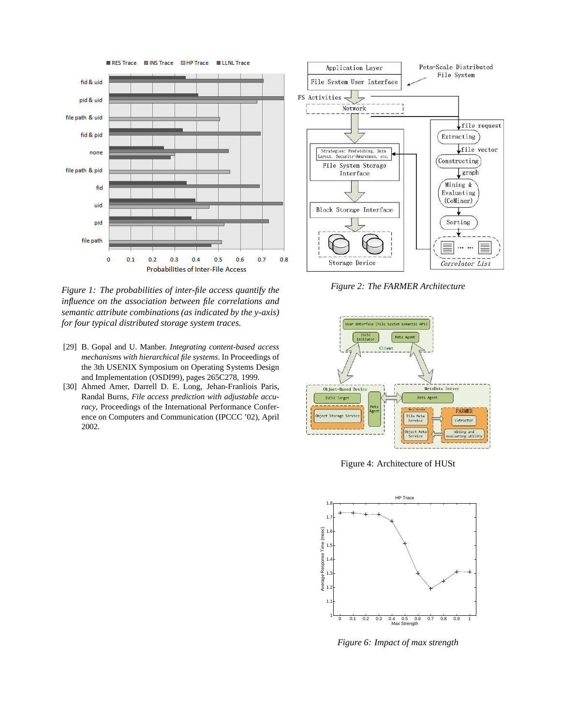

*Figure 1: The probabilities of inter-file access quantify the influence on the association between file correlations and semantic attribute combinations (as indicated by the y-axis) for four typical distributed storage system traces.*

- [29] B. Gopal and U. Manber. *Integrating content-based access mechanisms with hierarchical file systems*. In Proceedings of the 3th USENIX Symposium on Operating Systems Design and Implementation (OSDI99), pages 265C278, 1999.
- [30] Ahmed Amer, Darrell D. E. Long, Jehan-Franliois Paris, Randal Burns, *File access prediction with adjustable accuracy*, Proceedings of the International Performance Conference on Computers and Communication (IPCCC '02), April 2002.



*Figure 2: The FARMER Architecture*



Figure 4: Architecture of HUSt



*Figure 6: Impact of max strength*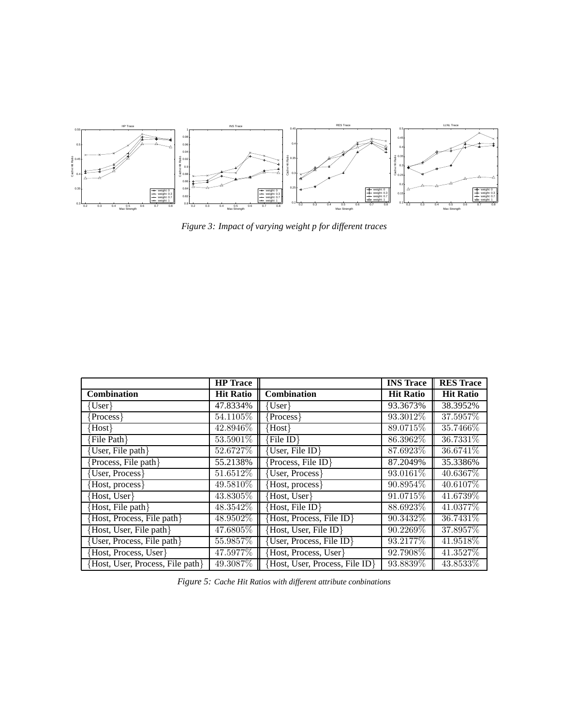

*Figure 3: Impact of varying weight p for different traces*

|                                  | <b>HP</b> Trace  |                                | <b>INS</b> Trace | <b>RES Trace</b> |
|----------------------------------|------------------|--------------------------------|------------------|------------------|
| Combination                      | <b>Hit Ratio</b> | Combination                    | <b>Hit Ratio</b> | <b>Hit Ratio</b> |
| User }                           | 47.8334%         | $\{User\}$                     | 93.3673%         | 38.3952%         |
| Process }                        | 54.1105\%        | Process }                      | 93.3012\%        | 37.5957\%        |
| Host }                           | 42.8946\%        | ${Host}$                       | 89.0715\%        | 35.7466\%        |
| File Path                        | 53.5901%         | File ID }                      | 86.3962\%        | 36.7331\%        |
| User, File path}                 | 52.6727%         | User, File ID}                 | 87.6923\%        | 36.6741\%        |
| Process, File path }             | 55.2138%         | Process, File ID}              | 87.2049%         | 35.3386%         |
| User, Process                    | 51.6512%         | User, Process                  | 93.0161\%        | 40.6367\%        |
| Host, process }                  | 49.5810\%        | Host, process }                | 90.8954\%        | 40.6107\%        |
| Host, User                       | 43.8305%         | Host, User                     | 91.0715\%        | 41.6739%         |
| Host, File path }                | 48.3542\%        | Host, File ID }                | 88.6923\%        | 41.0377\%        |
| Host, Process, File path }       | 48.9502\%        | Host, Process, File ID}        | 90.3432\%        | 36.7431\%        |
| Host, User, File path            | 47.6805\%        | Host, User, File ID}           | 90.2269\%        | 37.8957\%        |
| User, Process, File path }       | 55.9857\%        | User, Process, File ID}        | 93.2177\%        | 41.9518\%        |
| Host, Process, User              | 47.5977\%        | Host, Process, User            | 92.7908\%        | 41.3527\%        |
| Host, User, Process, File path } | 49.3087%         | Host, User, Process, File ID } | 93.8839\%        | 43.8533\%        |

*Figure 5: Cache Hit Ratios with different attribute conbinations*